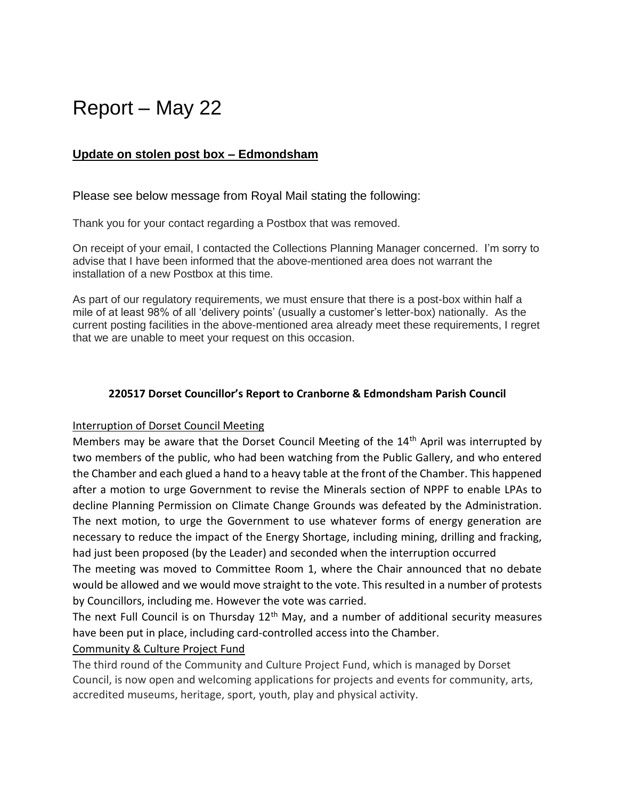# Report – May 22

## **Update on stolen post box – Edmondsham**

#### Please see below message from Royal Mail stating the following:

Thank you for your contact regarding a Postbox that was removed.

On receipt of your email, I contacted the Collections Planning Manager concerned. I'm sorry to advise that I have been informed that the above-mentioned area does not warrant the installation of a new Postbox at this time.

As part of our regulatory requirements, we must ensure that there is a post-box within half a mile of at least 98% of all 'delivery points' (usually a customer's letter-box) nationally. As the current posting facilities in the above-mentioned area already meet these requirements, I regret that we are unable to meet your request on this occasion.

#### **220517 Dorset Councillor's Report to Cranborne & Edmondsham Parish Council**

#### Interruption of Dorset Council Meeting

Members may be aware that the Dorset Council Meeting of the 14<sup>th</sup> April was interrupted by two members of the public, who had been watching from the Public Gallery, and who entered the Chamber and each glued a hand to a heavy table at the front of the Chamber. This happened after a motion to urge Government to revise the Minerals section of NPPF to enable LPAs to decline Planning Permission on Climate Change Grounds was defeated by the Administration. The next motion, to urge the Government to use whatever forms of energy generation are necessary to reduce the impact of the Energy Shortage, including mining, drilling and fracking, had just been proposed (by the Leader) and seconded when the interruption occurred

The meeting was moved to Committee Room 1, where the Chair announced that no debate would be allowed and we would move straight to the vote. This resulted in a number of protests by Councillors, including me. However the vote was carried.

The next Full Council is on Thursday  $12<sup>th</sup>$  May, and a number of additional security measures have been put in place, including card-controlled access into the Chamber.

#### Community & Culture Project Fund

The third round of the Community and Culture Project Fund, which is managed by Dorset Council, is now open and welcoming applications for projects and events for community, arts, accredited museums, heritage, sport, youth, play and physical activity.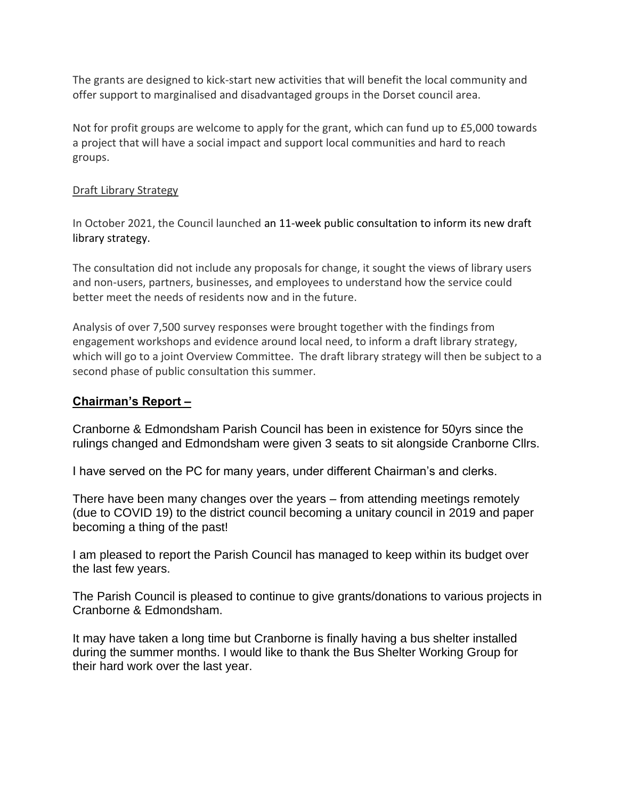The grants are designed to kick-start new activities that will benefit the local community and offer support to marginalised and disadvantaged groups in the Dorset council area.

Not for profit groups are welcome to apply for the grant, which can fund up to £5,000 towards a project that will have a social impact and support local communities and hard to reach groups.

### Draft Library Strategy

In October 2021, the Council launched an 11-week public consultation to inform its new draft library strategy.

The consultation did not include any proposals for change, it sought the views of library users and non-users, partners, businesses, and employees to understand how the service could better meet the needs of residents now and in the future.

Analysis of over 7,500 survey responses were brought together with the findings from engagement workshops and evidence around local need, to inform a draft library strategy, which will go to a joint Overview Committee. The draft library strategy will then be subject to a second phase of public consultation this summer.

## **Chairman's Report –**

Cranborne & Edmondsham Parish Council has been in existence for 50yrs since the rulings changed and Edmondsham were given 3 seats to sit alongside Cranborne Cllrs.

I have served on the PC for many years, under different Chairman's and clerks.

There have been many changes over the years – from attending meetings remotely (due to COVID 19) to the district council becoming a unitary council in 2019 and paper becoming a thing of the past!

I am pleased to report the Parish Council has managed to keep within its budget over the last few years.

The Parish Council is pleased to continue to give grants/donations to various projects in Cranborne & Edmondsham.

It may have taken a long time but Cranborne is finally having a bus shelter installed during the summer months. I would like to thank the Bus Shelter Working Group for their hard work over the last year.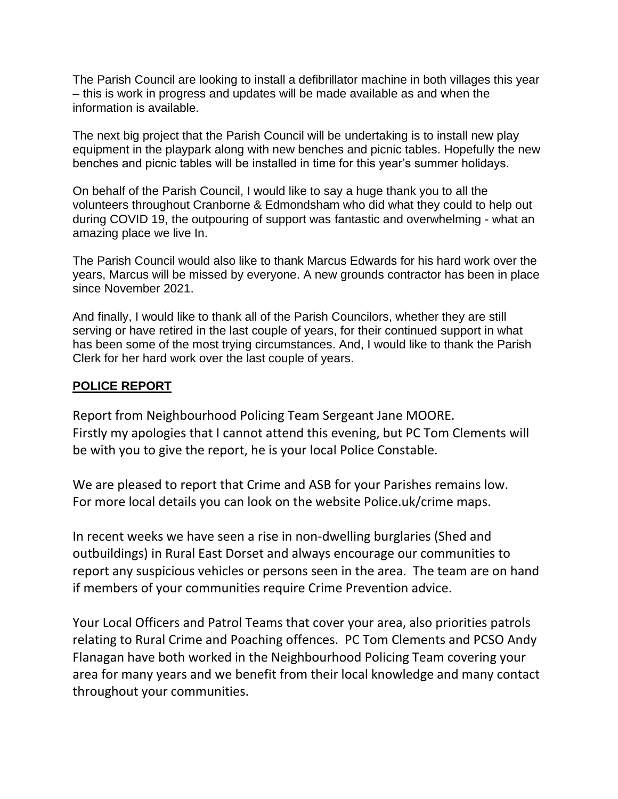The Parish Council are looking to install a defibrillator machine in both villages this year – this is work in progress and updates will be made available as and when the information is available.

The next big project that the Parish Council will be undertaking is to install new play equipment in the playpark along with new benches and picnic tables. Hopefully the new benches and picnic tables will be installed in time for this year's summer holidays.

On behalf of the Parish Council, I would like to say a huge thank you to all the volunteers throughout Cranborne & Edmondsham who did what they could to help out during COVID 19, the outpouring of support was fantastic and overwhelming - what an amazing place we live In.

The Parish Council would also like to thank Marcus Edwards for his hard work over the years, Marcus will be missed by everyone. A new grounds contractor has been in place since November 2021.

And finally, I would like to thank all of the Parish Councilors, whether they are still serving or have retired in the last couple of years, for their continued support in what has been some of the most trying circumstances. And, I would like to thank the Parish Clerk for her hard work over the last couple of years.

## **POLICE REPORT**

Report from Neighbourhood Policing Team Sergeant Jane MOORE. Firstly my apologies that I cannot attend this evening, but PC Tom Clements will be with you to give the report, he is your local Police Constable.

We are pleased to report that Crime and ASB for your Parishes remains low. For more local details you can look on the website Police.uk/crime maps.

In recent weeks we have seen a rise in non-dwelling burglaries (Shed and outbuildings) in Rural East Dorset and always encourage our communities to report any suspicious vehicles or persons seen in the area. The team are on hand if members of your communities require Crime Prevention advice.

Your Local Officers and Patrol Teams that cover your area, also priorities patrols relating to Rural Crime and Poaching offences. PC Tom Clements and PCSO Andy Flanagan have both worked in the Neighbourhood Policing Team covering your area for many years and we benefit from their local knowledge and many contact throughout your communities.